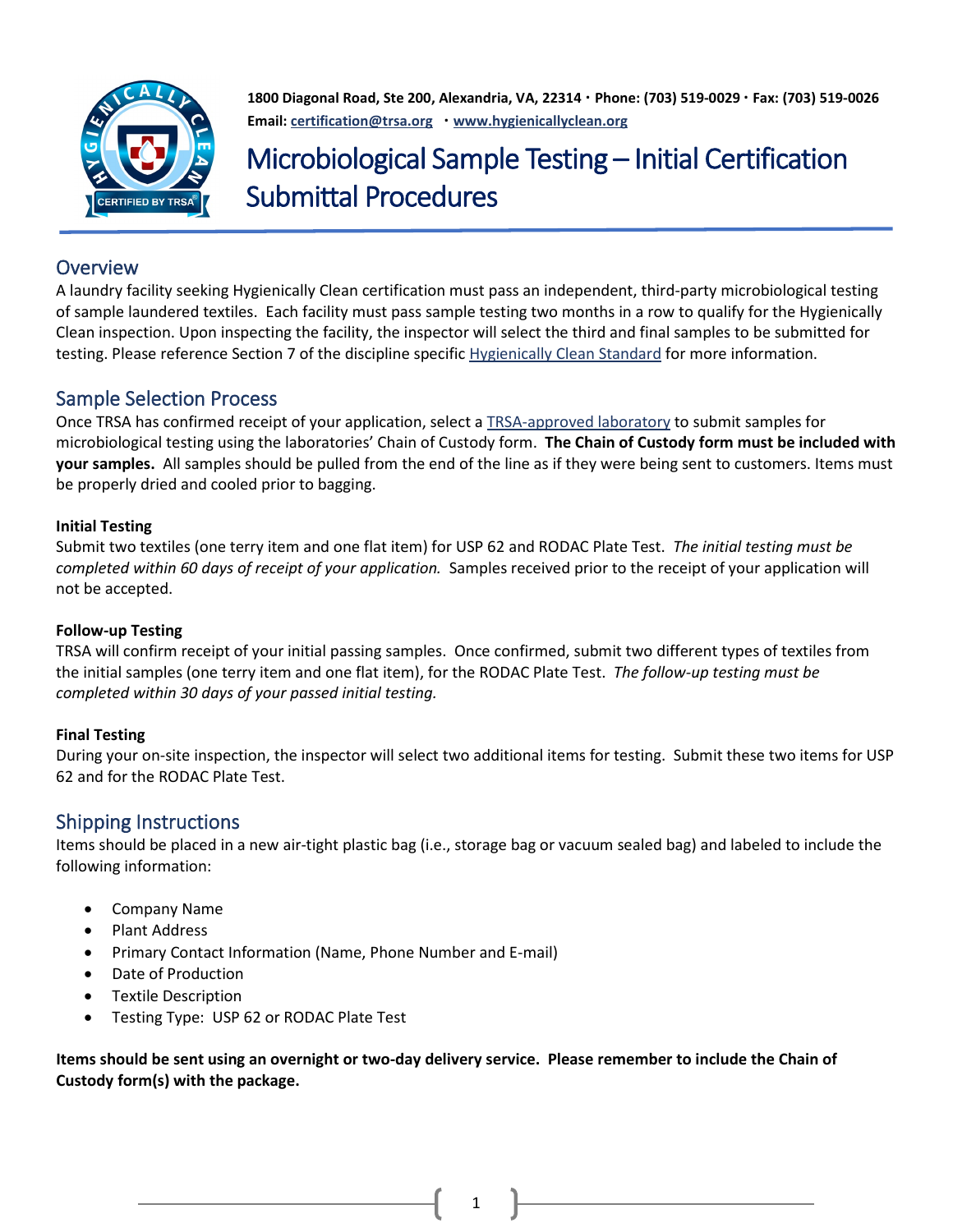

**1800 Diagonal Road, Ste 200, Alexandria, VA, 22314 ∙ Phone: (703) 519-0029 ∙ Fax: (703) 519-0026 Email: [certification@trsa.org](mailto:certification@trsa.org) ∙ [www.hygienicallyclean.org](http://www.hygienicallyclean.org/)**

# Microbiological Sample Testing – Initial Certification Submittal Procedures

## **Overview**

A laundry facility seeking Hygienically Clean certification must pass an independent, third-party microbiological testing of sample laundered textiles. Each facility must pass sample testing two months in a row to qualify for the Hygienically Clean inspection. Upon inspecting the facility, the inspector will select the third and final samples to be submitted for testing. Please reference Section 7 of the discipline specific [Hygienically Clean Standard](https://hygienicallyclean.org/certifications/) for more information.

## Sample Selection Process

Once TRSA has confirmed receipt of your application, select a [TRSA-approved laboratory](https://hygienicallyclean.org/hygienically-clean-healthcare/inspections-tests/) to submit samples for microbiological testing using the laboratories' Chain of Custody form. **The Chain of Custody form must be included with your samples.** All samples should be pulled from the end of the line as if they were being sent to customers. Items must be properly dried and cooled prior to bagging.

#### **Initial Testing**

Submit two textiles (one terry item and one flat item) for USP 62 and RODAC Plate Test. *The initial testing must be completed within 60 days of receipt of your application.* Samples received prior to the receipt of your application will not be accepted.

#### **Follow-up Testing**

TRSA will confirm receipt of your initial passing samples. Once confirmed, submit two different types of textiles from the initial samples (one terry item and one flat item), for the RODAC Plate Test. *The follow-up testing must be completed within 30 days of your passed initial testing.* 

### **Final Testing**

During your on-site inspection, the inspector will select two additional items for testing. Submit these two items for USP 62 and for the RODAC Plate Test.

## Shipping Instructions

Items should be placed in a new air-tight plastic bag (i.e., storage bag or vacuum sealed bag) and labeled to include the following information:

- Company Name
- Plant Address
- Primary Contact Information (Name, Phone Number and E-mail)
- Date of Production
- Textile Description
- Testing Type: USP 62 or RODAC Plate Test

**Items should be sent using an overnight or two-day delivery service. Please remember to include the Chain of Custody form(s) with the package.**

1